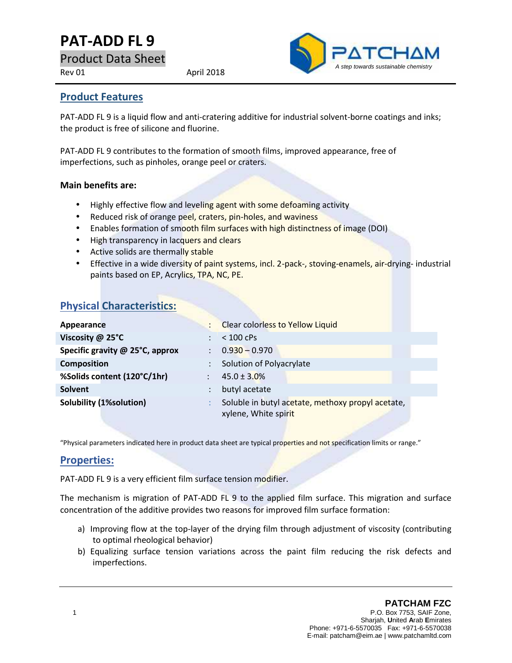# **PAT-ADD FL 9**

Product Data Sheet

Rev 01 April 2018



#### **Product Features**

PAT-ADD FL 9 is a liquid flow and anti-cratering additive for industrial solvent-borne coatings and inks; the product is free of silicone and fluorine.

PAT-ADD FL 9 contributes to the formation of smooth films, improved appearance, free of imperfections, such as pinholes, orange peel or craters.

#### **Main benefits are:**

- Highly effective flow and leveling agent with some defoaming activity
- Reduced risk of orange peel, craters, pin-holes, and waviness
- Enables formation of smooth film surfaces with high distinctness of image (DOI)
- High transparency in lacquers and clears
- Active solids are thermally stable
- **Effective in a wide diversity of paint systems, incl. 2-pack-, stoving-enamels, air-drying- industrial in** paints based on EP, Acrylics, TPA, NC, PE.

# **Physical Characteristics:**

| Appearance                      |                      | <b>Clear colorless to Yellow Liquid</b>                                   |
|---------------------------------|----------------------|---------------------------------------------------------------------------|
| Viscosity @ 25°C                |                      | $< 100$ cPs                                                               |
| Specific gravity @ 25°C, approx |                      | $0.930 - 0.970$                                                           |
| <b>Composition</b>              |                      | Solution of Polyacrylate                                                  |
| %Solids content (120°C/1hr)     | $\ddot{\phantom{a}}$ | $45.0 \pm 3.0\%$                                                          |
| <b>Solvent</b>                  |                      | butyl acetate                                                             |
| <b>Solubility (1%solution)</b>  |                      | Soluble in butyl acetate, methoxy propyl acetate,<br>xylene, White spirit |

"Physical parameters indicated here in product data sheet are typical properties and not specification limits or range."

### **Properties:**

PAT-ADD FL 9 is a very efficient film surface tension modifier.

The mechanism is migration of PAT-ADD FL 9 to the applied film surface. This migration and surface concentration of the additive provides two reasons for improved film surface formation:

- a) Improving flow at the top-layer of the drying film through adjustment of viscosity (contributing to optimal rheological behavior)
- b) Equalizing surface tension variations across the paint film reducing the risk defects and imperfections.